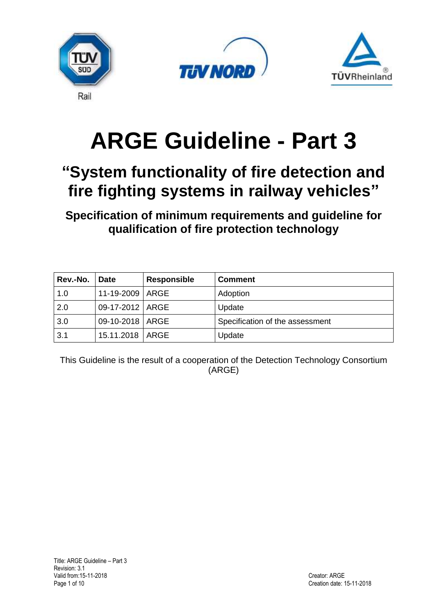





# **ARGE Guideline - Part 3**

# **"System functionality of fire detection and fire fighting systems in railway vehicles"**

**Specification of minimum requirements and guideline for qualification of fire protection technology**

| Rev.-No.   Date |                   | <b>Responsible</b> | <b>Comment</b>                  |
|-----------------|-------------------|--------------------|---------------------------------|
| 1.0             | 11-19-2009   ARGE |                    | Adoption                        |
| 2.0             | 09-17-2012   ARGE |                    | Update                          |
| 3.0             | 09-10-2018   ARGE |                    | Specification of the assessment |
| 3.1             | 15.11.2018   ARGE |                    | Update                          |

This Guideline is the result of a cooperation of the Detection Technology Consortium (ARGE)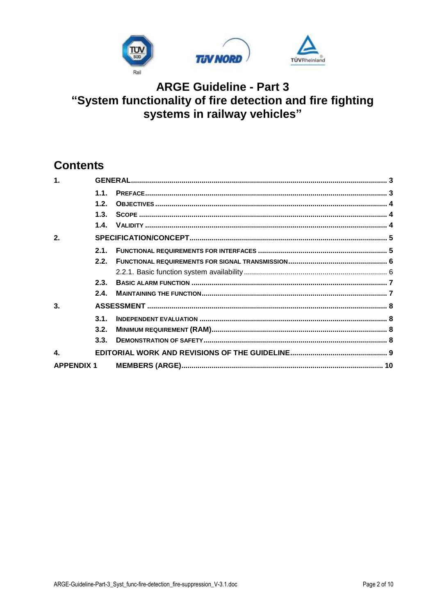

# **Contents**

| $\mathbf 1$        |                  |  |  |  |
|--------------------|------------------|--|--|--|
|                    | 11               |  |  |  |
|                    | 1.2.             |  |  |  |
|                    | 1.3 <sub>1</sub> |  |  |  |
|                    | 1.4.             |  |  |  |
| 2.                 |                  |  |  |  |
|                    | 2.1.             |  |  |  |
|                    | 2.2.             |  |  |  |
|                    |                  |  |  |  |
|                    | 2.3.             |  |  |  |
|                    | 2.4.             |  |  |  |
| 3.                 |                  |  |  |  |
|                    | 31               |  |  |  |
|                    | 3.2.             |  |  |  |
|                    | 3.3.             |  |  |  |
| $\blacktriangle$ . |                  |  |  |  |
| <b>APPENDIX 1</b>  |                  |  |  |  |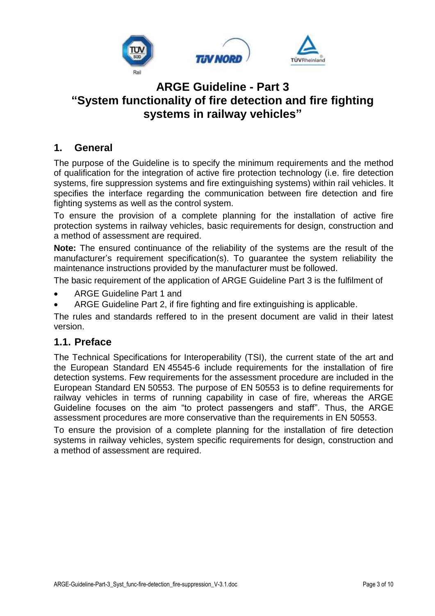

#### <span id="page-2-0"></span>**1. General**

The purpose of the Guideline is to specify the minimum requirements and the method of qualification for the integration of active fire protection technology (i.e. fire detection systems, fire suppression systems and fire extinguishing systems) within rail vehicles. It specifies the interface regarding the communication between fire detection and fire fighting systems as well as the control system.

To ensure the provision of a complete planning for the installation of active fire protection systems in railway vehicles, basic requirements for design, construction and a method of assessment are required.

**Note:** The ensured continuance of the reliability of the systems are the result of the manufacturer's requirement specification(s). To guarantee the system reliability the maintenance instructions provided by the manufacturer must be followed.

The basic requirement of the application of ARGE Guideline Part 3 is the fulfilment of

- ARGE Guideline Part 1 and
- ARGE Guideline Part 2, if fire fighting and fire extinguishing is applicable.

The rules and standards reffered to in the present document are valid in their latest version.

#### <span id="page-2-1"></span>**1.1. Preface**

The Technical Specifications for Interoperability (TSI), the current state of the art and the European Standard EN 45545-6 include requirements for the installation of fire detection systems. Few requirements for the assessment procedure are included in the European Standard EN 50553. The purpose of EN 50553 is to define requirements for railway vehicles in terms of running capability in case of fire, whereas the ARGE Guideline focuses on the aim "to protect passengers and staff". Thus, the ARGE assessment procedures are more conservative than the requirements in EN 50553.

To ensure the provision of a complete planning for the installation of fire detection systems in railway vehicles, system specific requirements for design, construction and a method of assessment are required.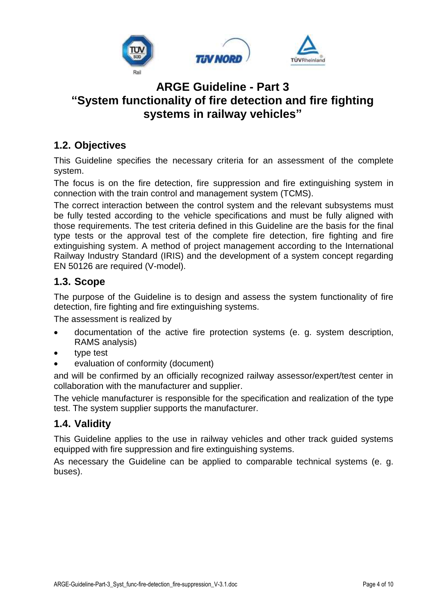

#### <span id="page-3-0"></span>**1.2. Objectives**

This Guideline specifies the necessary criteria for an assessment of the complete system.

The focus is on the fire detection, fire suppression and fire extinguishing system in connection with the train control and management system (TCMS).

The correct interaction between the control system and the relevant subsystems must be fully tested according to the vehicle specifications and must be fully aligned with those requirements. The test criteria defined in this Guideline are the basis for the final type tests or the approval test of the complete fire detection, fire fighting and fire extinguishing system. A method of project management according to the International Railway Industry Standard (IRIS) and the development of a system concept regarding EN 50126 are required (V-model).

#### <span id="page-3-1"></span>**1.3. Scope**

The purpose of the Guideline is to design and assess the system functionality of fire detection, fire fighting and fire extinguishing systems.

The assessment is realized by

- documentation of the active fire protection systems (e. g. system description, RAMS analysis)
- type test
- evaluation of conformity (document)

and will be confirmed by an officially recognized railway assessor/expert/test center in collaboration with the manufacturer and supplier.

The vehicle manufacturer is responsible for the specification and realization of the type test. The system supplier supports the manufacturer.

#### <span id="page-3-2"></span>**1.4. Validity**

This Guideline applies to the use in railway vehicles and other track guided systems equipped with fire suppression and fire extinguishing systems.

As necessary the Guideline can be applied to comparable technical systems (e. g. buses).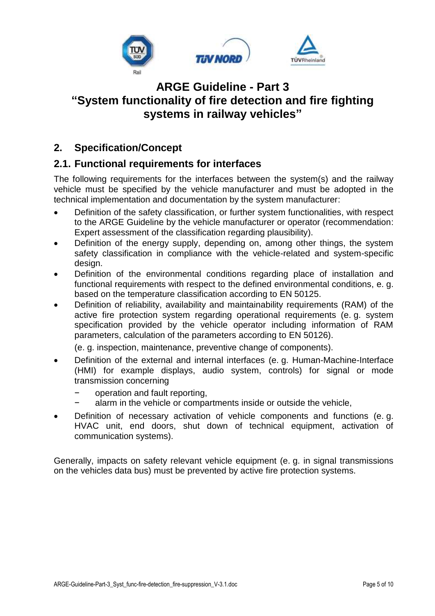

#### <span id="page-4-0"></span>**2. Specification/Concept**

#### <span id="page-4-1"></span>**2.1. Functional requirements for interfaces**

The following requirements for the interfaces between the system(s) and the railway vehicle must be specified by the vehicle manufacturer and must be adopted in the technical implementation and documentation by the system manufacturer:

- Definition of the safety classification, or further system functionalities, with respect to the ARGE Guideline by the vehicle manufacturer or operator (recommendation: Expert assessment of the classification regarding plausibility).
- Definition of the energy supply, depending on, among other things, the system safety classification in compliance with the vehicle-related and system-specific design.
- Definition of the environmental conditions regarding place of installation and functional requirements with respect to the defined environmental conditions, e. g. based on the temperature classification according to EN 50125.
- Definition of reliability, availability and maintainability requirements (RAM) of the active fire protection system regarding operational requirements (e. g. system specification provided by the vehicle operator including information of RAM parameters, calculation of the parameters according to EN 50126).

(e. g. inspection, maintenance, preventive change of components).

- Definition of the external and internal interfaces (e. g. Human-Machine-Interface (HMI) for example displays, audio system, controls) for signal or mode transmission concerning
	- − operation and fault reporting,
	- alarm in the vehicle or compartments inside or outside the vehicle,
- Definition of necessary activation of vehicle components and functions (e. g. HVAC unit, end doors, shut down of technical equipment, activation of communication systems).

Generally, impacts on safety relevant vehicle equipment (e. g. in signal transmissions on the vehicles data bus) must be prevented by active fire protection systems.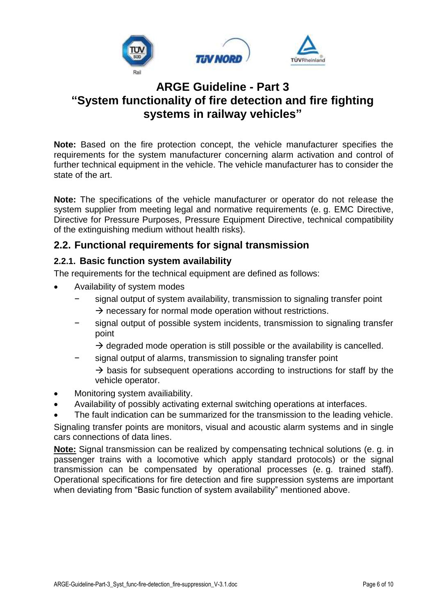

**Note:** Based on the fire protection concept, the vehicle manufacturer specifies the requirements for the system manufacturer concerning alarm activation and control of further technical equipment in the vehicle. The vehicle manufacturer has to consider the state of the art.

**Note:** The specifications of the vehicle manufacturer or operator do not release the system supplier from meeting legal and normative requirements (e. g. EMC Directive, Directive for Pressure Purposes, Pressure Equipment Directive, technical compatibility of the extinguishing medium without health risks).

#### <span id="page-5-0"></span>**2.2. Functional requirements for signal transmission**

#### <span id="page-5-1"></span>**2.2.1. Basic function system availability**

The requirements for the technical equipment are defined as follows:

- Availability of system modes
	- signal output of system availability, transmission to signaling transfer point  $\rightarrow$  necessary for normal mode operation without restrictions.
	- signal output of possible system incidents, transmission to signaling transfer point
		- $\rightarrow$  degraded mode operation is still possible or the availability is cancelled.
	- signal output of alarms, transmission to signaling transfer point
		- $\rightarrow$  basis for subsequent operations according to instructions for staff by the vehicle operator.
- Monitoring system availiability.
- Availability of possibly activating external switching operations at interfaces.
- The fault indication can be summarized for the transmission to the leading vehicle.

Signaling transfer points are monitors, visual and acoustic alarm systems and in single cars connections of data lines.

**Note:** Signal transmission can be realized by compensating technical solutions (e. g. in passenger trains with a locomotive which apply standard protocols) or the signal transmission can be compensated by operational processes (e. g. trained staff). Operational specifications for fire detection and fire suppression systems are important when deviating from "Basic function of system availability" mentioned above.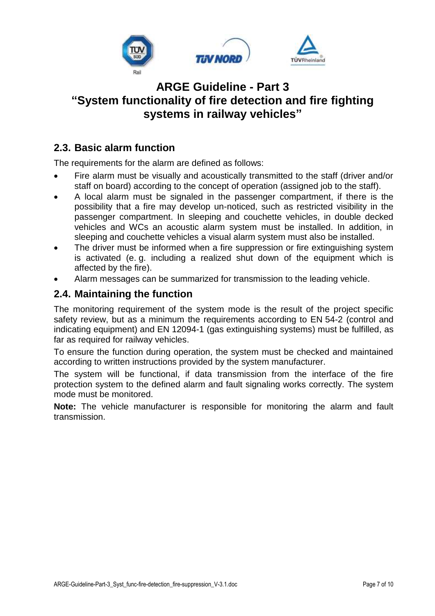

#### <span id="page-6-0"></span>**2.3. Basic alarm function**

The requirements for the alarm are defined as follows:

- Fire alarm must be visually and acoustically transmitted to the staff (driver and/or staff on board) according to the concept of operation (assigned job to the staff).
- A local alarm must be signaled in the passenger compartment, if there is the possibility that a fire may develop un-noticed, such as restricted visibility in the passenger compartment. In sleeping and couchette vehicles, in double decked vehicles and WCs an acoustic alarm system must be installed. In addition, in sleeping and couchette vehicles a visual alarm system must also be installed.
- The driver must be informed when a fire suppression or fire extinguishing system is activated (e. g. including a realized shut down of the equipment which is affected by the fire).
- Alarm messages can be summarized for transmission to the leading vehicle.

#### <span id="page-6-1"></span>**2.4. Maintaining the function**

The monitoring requirement of the system mode is the result of the project specific safety review, but as a minimum the requirements according to EN 54-2 (control and indicating equipment) and EN 12094-1 (gas extinguishing systems) must be fulfilled, as far as required for railway vehicles.

To ensure the function during operation, the system must be checked and maintained according to written instructions provided by the system manufacturer.

The system will be functional, if data transmission from the interface of the fire protection system to the defined alarm and fault signaling works correctly. The system mode must be monitored.

**Note:** The vehicle manufacturer is responsible for monitoring the alarm and fault transmission.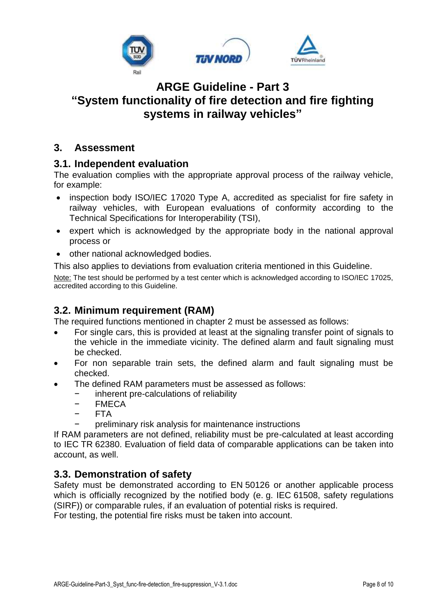

#### <span id="page-7-0"></span>**3. Assessment**

#### <span id="page-7-1"></span>**3.1. Independent evaluation**

The evaluation complies with the appropriate approval process of the railway vehicle, for example:

- inspection body ISO/IEC 17020 Type A, accredited as specialist for fire safety in railway vehicles, with European evaluations of conformity according to the Technical Specifications for Interoperability (TSI),
- expert which is acknowledged by the appropriate body in the national approval process or
- other national acknowledged bodies.

This also applies to deviations from evaluation criteria mentioned in this Guideline.

Note: The test should be performed by a test center which is acknowledged according to ISO/IEC 17025, accredited according to this Guideline.

#### <span id="page-7-2"></span>**3.2. Minimum requirement (RAM)**

The required functions mentioned in chapter 2 must be assessed as follows:

- For single cars, this is provided at least at the signaling transfer point of signals to the vehicle in the immediate vicinity. The defined alarm and fault signaling must be checked.
- For non separable train sets, the defined alarm and fault signaling must be checked.
- The defined RAM parameters must be assessed as follows:
	- − inherent pre-calculations of reliability
	- − FMECA
	- − FTA
		- preliminary risk analysis for maintenance instructions

If RAM parameters are not defined, reliability must be pre-calculated at least according to IEC TR 62380. Evaluation of field data of comparable applications can be taken into account, as well.

#### <span id="page-7-3"></span>**3.3. Demonstration of safety**

Safety must be demonstrated according to EN 50126 or another applicable process which is officially recognized by the notified body (e. g. IEC 61508, safety regulations (SIRF)) or comparable rules, if an evaluation of potential risks is required.

For testing, the potential fire risks must be taken into account.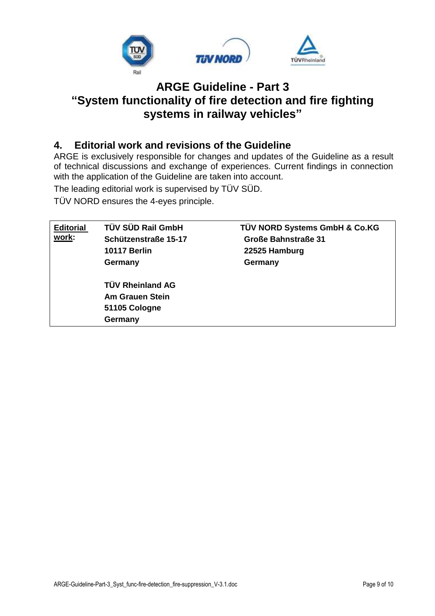

#### <span id="page-8-0"></span>**4. Editorial work and revisions of the Guideline**

ARGE is exclusively responsible for changes and updates of the Guideline as a result of technical discussions and exchange of experiences. Current findings in connection with the application of the Guideline are taken into account.

The leading editorial work is supervised by TÜV SÜD.

TÜV NORD ensures the 4-eyes principle.

| <b>Editorial</b>       | TÜV SÜD Rail GmbH       | TÜV NORD Systems GmbH & Co.KG |  |  |  |
|------------------------|-------------------------|-------------------------------|--|--|--|
| work:                  | Schützenstraße 15-17    | <b>Große Bahnstraße 31</b>    |  |  |  |
|                        | <b>10117 Berlin</b>     | 22525 Hamburg                 |  |  |  |
|                        | Germany                 | Germany                       |  |  |  |
|                        | <b>TÜV Rheinland AG</b> |                               |  |  |  |
| <b>Am Grauen Stein</b> |                         |                               |  |  |  |
|                        | 51105 Cologne           |                               |  |  |  |
|                        | Germany                 |                               |  |  |  |